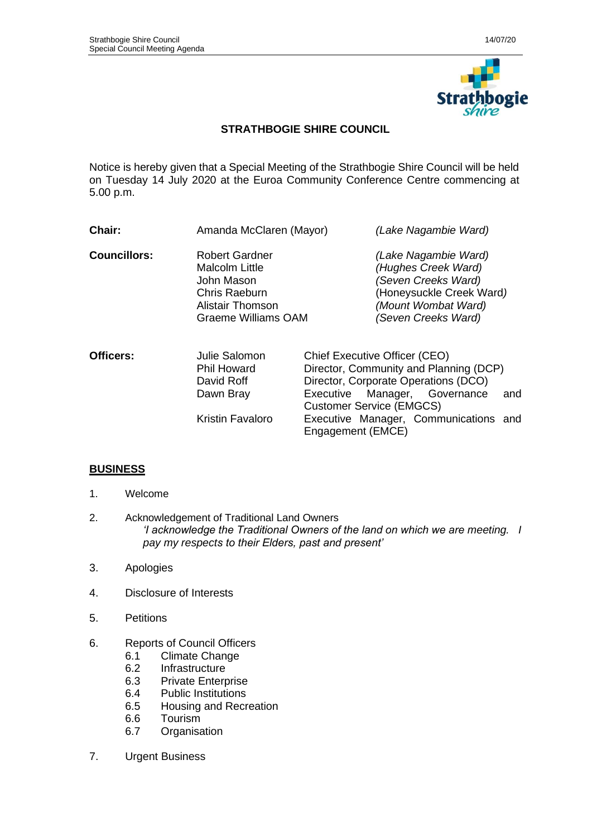

# **STRATHBOGIE SHIRE COUNCIL**

Notice is hereby given that a Special Meeting of the Strathbogie Shire Council will be held on Tuesday 14 July 2020 at the Euroa Community Conference Centre commencing at 5.00 p.m.

| Chair:                                                                                                                                   | Amanda McClaren (Mayor)                                         | (Lake Nagambie Ward)                                                                                                                                  |  |  |  |
|------------------------------------------------------------------------------------------------------------------------------------------|-----------------------------------------------------------------|-------------------------------------------------------------------------------------------------------------------------------------------------------|--|--|--|
| <b>Councillors:</b><br>Robert Gardner<br>Malcolm Little<br>John Mason<br>Chris Raeburn<br>Alistair Thomson<br><b>Graeme Williams OAM</b> |                                                                 | (Lake Nagambie Ward)<br>(Hughes Creek Ward)<br>(Seven Creeks Ward)<br>(Honeysuckle Creek Ward)<br>(Mount Wombat Ward)<br>(Seven Creeks Ward)          |  |  |  |
| Officers:                                                                                                                                | Julie Salomon<br><b>Phil Howard</b><br>David Roff<br>Douin Draw | Chief Executive Officer (CEO)<br>Director, Community and Planning (DCP)<br>Director, Corporate Operations (DCO)<br>Executive Meneger Covernance<br>C, |  |  |  |

Dawn Bray Executive Manager, Governance and Customer Service (EMGCS) Kristin Favaloro Executive Manager, Communications and Engagement (EMCE)

# **BUSINESS**

- 1. Welcome
- 2. Acknowledgement of Traditional Land Owners *'I acknowledge the Traditional Owners of the land on which we are meeting. I pay my respects to their Elders, past and present'*
- 3. Apologies
- 4. Disclosure of Interests
- 5. Petitions
- 6. Reports of Council Officers
	- 6.1 Climate Change<br>6.2 Infrastructure
	- **Infrastructure**
	- 6.3 Private Enterprise
	- 6.4 Public Institutions
	- 6.5 Housing and Recreation
	- 6.6 Tourism
	- 6.7 Organisation
- 7. Urgent Business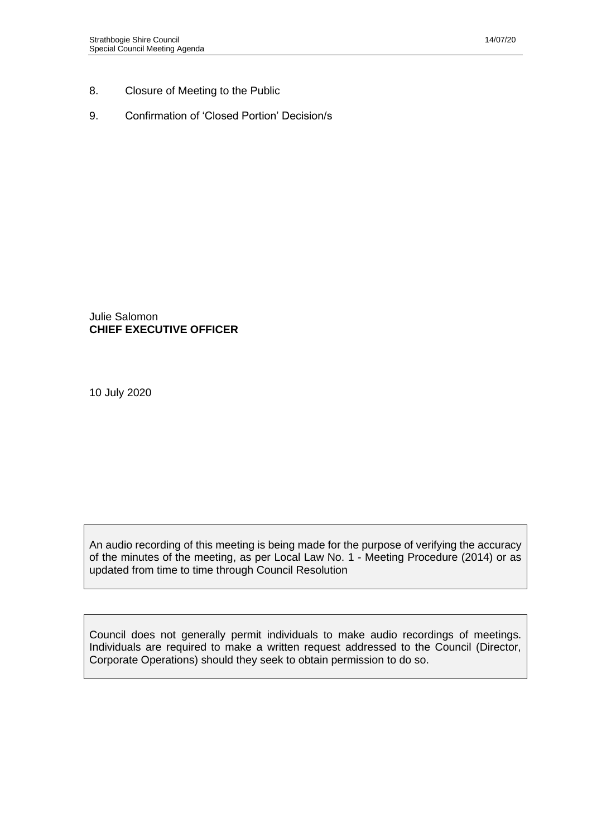- 8. Closure of Meeting to the Public
- 9. Confirmation of 'Closed Portion' Decision/s

Julie Salomon **CHIEF EXECUTIVE OFFICER**

10 July 2020

An audio recording of this meeting is being made for the purpose of verifying the accuracy of the minutes of the meeting, as per Local Law No. 1 - Meeting Procedure (2014) or as updated from time to time through Council Resolution

Council does not generally permit individuals to make audio recordings of meetings. Individuals are required to make a written request addressed to the Council (Director, Corporate Operations) should they seek to obtain permission to do so.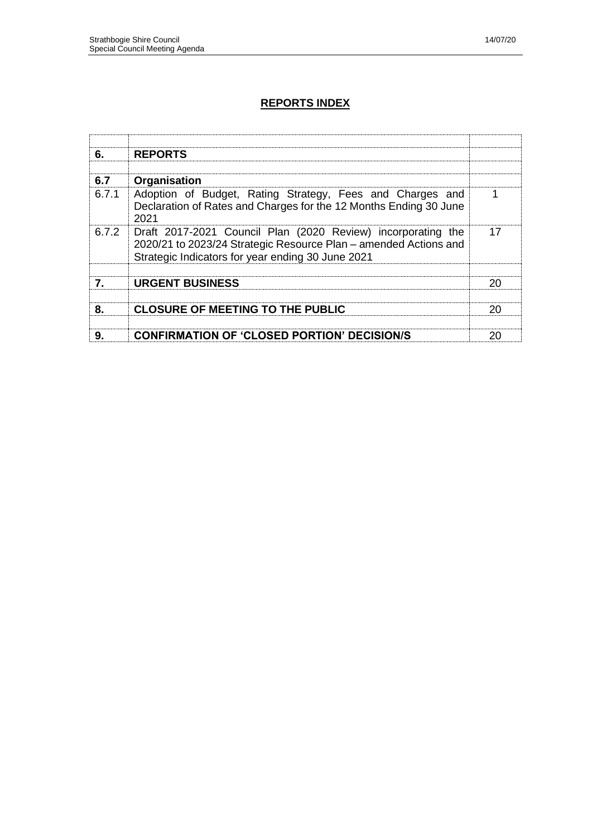# **REPORTS INDEX**

| 6.               | <b>REPORTS</b>                                                                                                                                                                        |    |
|------------------|---------------------------------------------------------------------------------------------------------------------------------------------------------------------------------------|----|
| 6.7              | Organisation                                                                                                                                                                          |    |
| 6.7.1            | Adoption of Budget, Rating Strategy, Fees and Charges and<br>Declaration of Rates and Charges for the 12 Months Ending 30 June<br>2021                                                |    |
| 6.7.2            | Draft 2017-2021 Council Plan (2020 Review) incorporating the<br>2020/21 to 2023/24 Strategic Resource Plan - amended Actions and<br>Strategic Indicators for year ending 30 June 2021 | 17 |
| $\mathbf{7}_{-}$ | <b>URGENT BUSINESS</b>                                                                                                                                                                | 20 |
|                  |                                                                                                                                                                                       |    |
| 8.               | <b>CLOSURE OF MEETING TO THE PUBLIC</b>                                                                                                                                               | 20 |
| 9.               | <b>CONFIRMATION OF 'CLOSED PORTION' DECISION/S</b>                                                                                                                                    | 20 |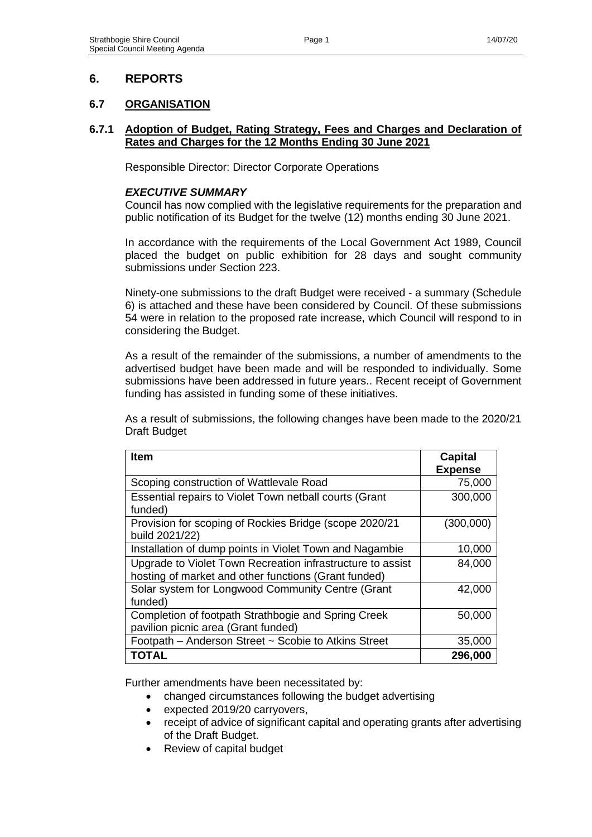# **6. REPORTS**

# **6.7 ORGANISATION**

#### **6.7.1 Adoption of Budget, Rating Strategy, Fees and Charges and Declaration of Rates and Charges for the 12 Months Ending 30 June 2021**

Responsible Director: Director Corporate Operations

## *EXECUTIVE SUMMARY*

Council has now complied with the legislative requirements for the preparation and public notification of its Budget for the twelve (12) months ending 30 June 2021.

In accordance with the requirements of the Local Government Act 1989, Council placed the budget on public exhibition for 28 days and sought community submissions under Section 223.

Ninety-one submissions to the draft Budget were received - a summary (Schedule 6) is attached and these have been considered by Council. Of these submissions 54 were in relation to the proposed rate increase, which Council will respond to in considering the Budget.

As a result of the remainder of the submissions, a number of amendments to the advertised budget have been made and will be responded to individually. Some submissions have been addressed in future years.. Recent receipt of Government funding has assisted in funding some of these initiatives.

As a result of submissions, the following changes have been made to the 2020/21 Draft Budget

| <b>Item</b>                                                                                                        | <b>Capital</b><br><b>Expense</b> |
|--------------------------------------------------------------------------------------------------------------------|----------------------------------|
| Scoping construction of Wattlevale Road                                                                            | 75,000                           |
| Essential repairs to Violet Town netball courts (Grant<br>funded)                                                  | 300,000                          |
| Provision for scoping of Rockies Bridge (scope 2020/21<br>build 2021/22)                                           | (300,000)                        |
| Installation of dump points in Violet Town and Nagambie                                                            | 10,000                           |
| Upgrade to Violet Town Recreation infrastructure to assist<br>hosting of market and other functions (Grant funded) | 84,000                           |
| Solar system for Longwood Community Centre (Grant<br>funded)                                                       | 42,000                           |
| Completion of footpath Strathbogie and Spring Creek<br>pavilion picnic area (Grant funded)                         | 50,000                           |
| Footpath - Anderson Street ~ Scobie to Atkins Street                                                               | 35,000                           |
| TOTAL                                                                                                              | 296,000                          |

Further amendments have been necessitated by:

- changed circumstances following the budget advertising
- expected 2019/20 carryovers,
- receipt of advice of significant capital and operating grants after advertising of the Draft Budget.
- Review of capital budget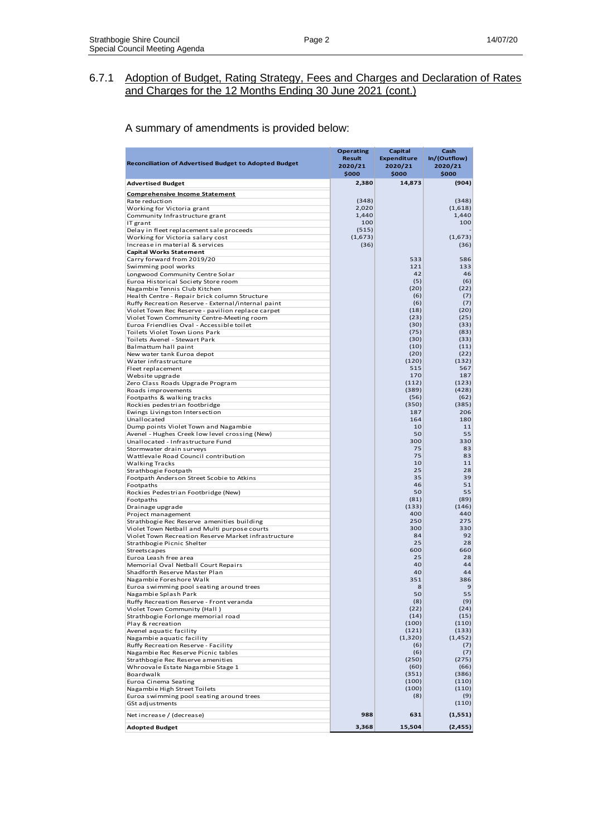#### A summary of amendments is provided below:

| <b>Reconciliation of Advertised Budget to Adopted Budget</b>                 | <b>Operating</b><br><b>Result</b><br>2020/21<br>\$000 | Capital<br><b>Expenditure</b><br>2020/21<br>\$000 | Casn<br>In/(Outflow)<br>2020/21<br>\$000 |
|------------------------------------------------------------------------------|-------------------------------------------------------|---------------------------------------------------|------------------------------------------|
| <b>Advertised Budget</b>                                                     | 2,380                                                 | 14,873                                            | (904)                                    |
| <b>Comprehensive Income Statement</b>                                        |                                                       |                                                   |                                          |
| Rate reduction                                                               | (348)                                                 |                                                   | (348)                                    |
| Working for Victoria grant                                                   | 2,020                                                 |                                                   | (1,618)                                  |
| Community Infrastructure grant                                               | 1,440                                                 |                                                   | 1,440                                    |
| IT grant                                                                     | 100<br>(515)                                          |                                                   | 100                                      |
| Delay in fleet replacement sale proceeds<br>Working for Victoria salary cost | (1,673)                                               |                                                   | (1,673)                                  |
| Increase in material & services                                              | (36)                                                  |                                                   | (36)                                     |
| <b>Capital Works Statement</b>                                               |                                                       |                                                   |                                          |
| Carry forward from 2019/20                                                   |                                                       | 533                                               | 586                                      |
| Swimming pool works                                                          |                                                       | 121                                               | 133                                      |
| Longwood Community Centre Solar<br>Euroa Historical Society Store room       |                                                       | 42<br>(5)                                         | 46<br>(6)                                |
| Nagambie Tennis Club Kitchen                                                 |                                                       | (20)                                              | (22)                                     |
| Health Centre - Repair brick column Structure                                |                                                       | (6)                                               | (7)                                      |
| Ruffy Recreation Reserve - External/internal paint                           |                                                       | (6)                                               | (7)                                      |
| Violet Town Rec Reserve - pavilion replace carpet                            |                                                       | (18)                                              | (20)                                     |
| Violet Town Community Centre-Meeting room                                    |                                                       | (23)                                              | (25)                                     |
| Euroa Friendlies Oval - Accessible toilet                                    |                                                       | (30)                                              | (33)                                     |
| Toilets Violet Town Lions Park<br>Toilets Avenel - Stewart Park              |                                                       | (75)<br>(30)                                      | (83)<br>(33)                             |
| Balmattum hall paint                                                         |                                                       | (10)                                              | (11)                                     |
| New water tank Euroa depot                                                   |                                                       | (20)                                              | (22)                                     |
| Water infrastructure                                                         |                                                       | (120)                                             | (132)                                    |
| Fleet replacement                                                            |                                                       | 515                                               | 567                                      |
| Website upgrade                                                              |                                                       | 170                                               | 187                                      |
| Zero Class Roads Upgrade Program                                             |                                                       | (112)                                             | (123)                                    |
| Roads improvements<br>Footpaths & walking tracks                             |                                                       | (389)<br>(56)                                     | (428)<br>(62)                            |
| Rockies pedestrian footbridge                                                |                                                       | (350)                                             | (385)                                    |
| Ewings Livingston Intersection                                               |                                                       | 187                                               | 206                                      |
| Unallocated                                                                  |                                                       | 164                                               | 180                                      |
| Dump points Violet Town and Nagambie                                         |                                                       | 10                                                | 11                                       |
| Avenel - Hughes Creek low level crossing (New)                               |                                                       | 50                                                | 55                                       |
| Unallocated - Infrastructure Fund<br>Stormwater drain surveys                |                                                       | 300<br>75                                         | 330<br>83                                |
| Wattlevale Road Council contribution                                         |                                                       | 75                                                | 83                                       |
| Walking Tracks                                                               |                                                       | 10                                                | 11                                       |
| Strathbogie Footpath                                                         |                                                       | 25                                                | 28                                       |
| Footpath Anderson Street Scobie to Atkins                                    |                                                       | 35                                                | 39                                       |
| Footpaths                                                                    |                                                       | 46                                                | 51<br>55                                 |
| Rockies Pedestrian Footbridge (New)<br>Footpaths                             |                                                       | 50<br>(81)                                        | (89)                                     |
| Drainage upgrade                                                             |                                                       | (133)                                             | (146)                                    |
| Project management                                                           |                                                       | 400                                               | 440                                      |
| Strathbogie Rec Reserve amenities building                                   |                                                       | 250                                               | 275                                      |
| Violet Town Netball and Multi purpose courts                                 |                                                       | 300                                               | 330                                      |
| Violet Town Recreation Reserve Market infrastructure                         |                                                       | 84                                                | 92                                       |
| Strathbogie Picnic Shelter<br>Streetscapes                                   |                                                       | 25<br>600                                         | 28<br>660                                |
| Euroa Leash free area                                                        |                                                       | 25                                                | 28                                       |
| Memorial Oval Netball Court Repairs                                          |                                                       | 40                                                | 44                                       |
| Shadforth Reserve Master Plan                                                |                                                       | 40                                                | 44                                       |
| Nagambie Foreshore Walk                                                      |                                                       | 351                                               | 386                                      |
| Euroa swimming pool seating around trees                                     |                                                       | 8                                                 | 9<br>55                                  |
| Nagambie Splash Park                                                         |                                                       | 50<br>(8)                                         | (9)                                      |
| Ruffy Recreation Reserve - Front veranda<br>Violet Town Community (Hall)     |                                                       | (22)                                              | (24)                                     |
| Strathbogie Forlonge memorial road                                           |                                                       | (14)                                              | (15)                                     |
| Play & recreation                                                            |                                                       | (100)                                             | (110)                                    |
| Avenel aquatic facility                                                      |                                                       | (121)                                             | (133)                                    |
| Nagambie aquatic facility                                                    |                                                       | (1,320)                                           | (1, 452)                                 |
| Ruffy Recreation Reserve - Facility                                          |                                                       | (6)                                               | (7)                                      |
| Nagambie Rec Reserve Picnic tables<br>Strathbogie Rec Reserve amenities      |                                                       | (6)<br>(250)                                      | (7)<br>(275)                             |
| Whroovale Estate Nagambie Stage 1                                            |                                                       | (60)                                              | (66)                                     |
| Boardwalk                                                                    |                                                       | (351)                                             | (386)                                    |
| Euroa Cinema Seating                                                         |                                                       | (100)                                             | (110)                                    |
| Nagambie High Street Toilets                                                 |                                                       | (100)                                             | (110)                                    |
| Euroa swimming pool seating around trees                                     |                                                       | (8)                                               | (9)                                      |
| GSt adjustments                                                              |                                                       |                                                   | (110)                                    |
| Net increase / (decrease)                                                    | 988                                                   | 631                                               | (1,551)                                  |
| <b>Adopted Budget</b>                                                        | 3,368                                                 | 15,504                                            | (2, 455)                                 |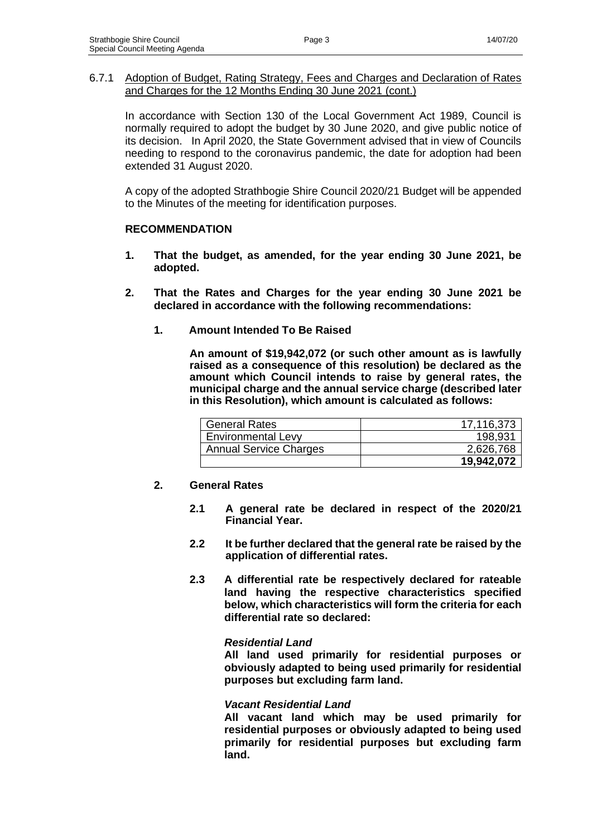In accordance with Section 130 of the Local Government Act 1989, Council is normally required to adopt the budget by 30 June 2020, and give public notice of its decision. In April 2020, the State Government advised that in view of Councils needing to respond to the coronavirus pandemic, the date for adoption had been extended 31 August 2020.

A copy of the adopted Strathbogie Shire Council 2020/21 Budget will be appended to the Minutes of the meeting for identification purposes.

## **RECOMMENDATION**

- **1. That the budget, as amended, for the year ending 30 June 2021, be adopted.**
- **2. That the Rates and Charges for the year ending 30 June 2021 be declared in accordance with the following recommendations:**
	- **1. Amount Intended To Be Raised**

**An amount of \$19,942,072 (or such other amount as is lawfully raised as a consequence of this resolution) be declared as the amount which Council intends to raise by general rates, the municipal charge and the annual service charge (described later in this Resolution), which amount is calculated as follows:**

| <b>General Rates</b>          | 17,116,373 |
|-------------------------------|------------|
| <b>Environmental Levy</b>     | 198,931    |
| <b>Annual Service Charges</b> | 2,626,768  |
|                               | 19,942,072 |

## **2. General Rates**

- **2.1 A general rate be declared in respect of the 2020/21 Financial Year.**
- **2.2 It be further declared that the general rate be raised by the application of differential rates.**
- **2.3 A differential rate be respectively declared for rateable land having the respective characteristics specified below, which characteristics will form the criteria for each differential rate so declared:**

#### *Residential Land*

**All land used primarily for residential purposes or obviously adapted to being used primarily for residential purposes but excluding farm land.**

#### *Vacant Residential Land*

**All vacant land which may be used primarily for residential purposes or obviously adapted to being used primarily for residential purposes but excluding farm land.**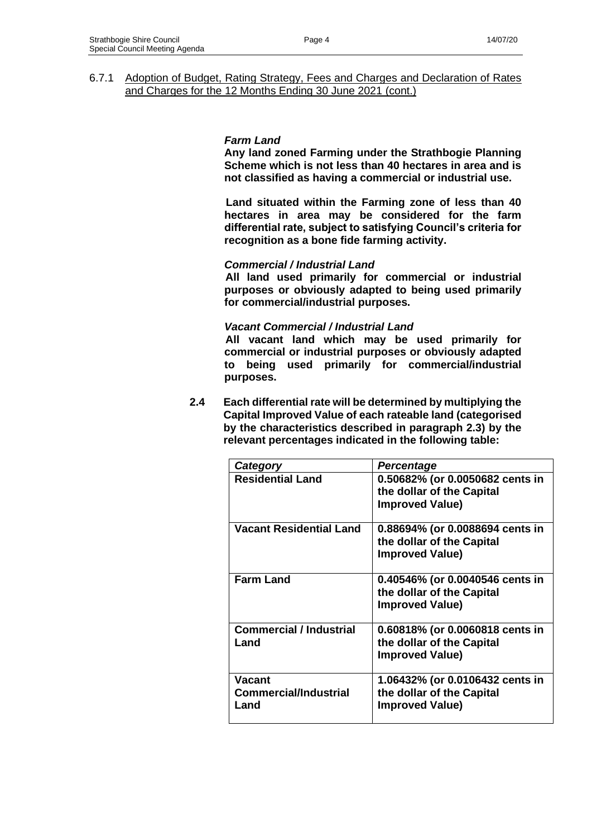## *Farm Land*

**Any land zoned Farming under the Strathbogie Planning Scheme which is not less than 40 hectares in area and is not classified as having a commercial or industrial use.**

**Land situated within the Farming zone of less than 40 hectares in area may be considered for the farm differential rate, subject to satisfying Council's criteria for recognition as a bone fide farming activity.**

## *Commercial / Industrial Land*

**All land used primarily for commercial or industrial purposes or obviously adapted to being used primarily for commercial/industrial purposes.**

#### *Vacant Commercial / Industrial Land*

**All vacant land which may be used primarily for commercial or industrial purposes or obviously adapted to being used primarily for commercial/industrial purposes.**

**2.4 Each differential rate will be determined by multiplying the Capital Improved Value of each rateable land (categorised by the characteristics described in paragraph 2.3) by the relevant percentages indicated in the following table:**

| Category                                       | <b>Percentage</b>                                                                      |
|------------------------------------------------|----------------------------------------------------------------------------------------|
| <b>Residential Land</b>                        | 0.50682% (or 0.0050682 cents in<br>the dollar of the Capital<br><b>Improved Value)</b> |
| <b>Vacant Residential Land</b>                 | 0.88694% (or 0.0088694 cents in<br>the dollar of the Capital<br><b>Improved Value)</b> |
| <b>Farm Land</b>                               | 0.40546% (or 0.0040546 cents in<br>the dollar of the Capital<br><b>Improved Value)</b> |
| <b>Commercial / Industrial</b><br>Land         | 0.60818% (or 0.0060818 cents in<br>the dollar of the Capital<br><b>Improved Value)</b> |
| Vacant<br><b>Commercial/Industrial</b><br>Land | 1.06432% (or 0.0106432 cents in<br>the dollar of the Capital<br><b>Improved Value)</b> |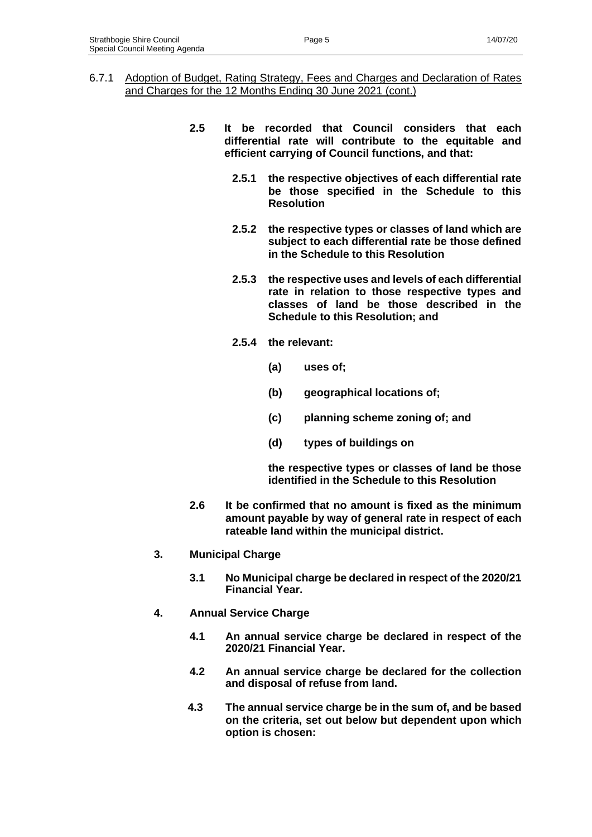- 6.7.1 Adoption of Budget, Rating Strategy, Fees and Charges and Declaration of Rates and Charges for the 12 Months Ending 30 June 2021 (cont.)
	- **2.5 It be recorded that Council considers that each differential rate will contribute to the equitable and efficient carrying of Council functions, and that:**
		- **2.5.1 the respective objectives of each differential rate be those specified in the Schedule to this Resolution**
		- **2.5.2 the respective types or classes of land which are subject to each differential rate be those defined in the Schedule to this Resolution**
		- **2.5.3 the respective uses and levels of each differential rate in relation to those respective types and classes of land be those described in the Schedule to this Resolution; and**
		- **2.5.4 the relevant:**
			- **(a) uses of;**
			- **(b) geographical locations of;**
			- **(c) planning scheme zoning of; and**
			- **(d) types of buildings on**

**the respective types or classes of land be those identified in the Schedule to this Resolution**

- **2.6 It be confirmed that no amount is fixed as the minimum amount payable by way of general rate in respect of each rateable land within the municipal district.**
- **3. Municipal Charge**
	- **3.1 No Municipal charge be declared in respect of the 2020/21 Financial Year.**
- **4. Annual Service Charge**
	- **4.1 An annual service charge be declared in respect of the 2020/21 Financial Year.**
	- **4.2 An annual service charge be declared for the collection and disposal of refuse from land.**
	- **4.3 The annual service charge be in the sum of, and be based on the criteria, set out below but dependent upon which option is chosen:**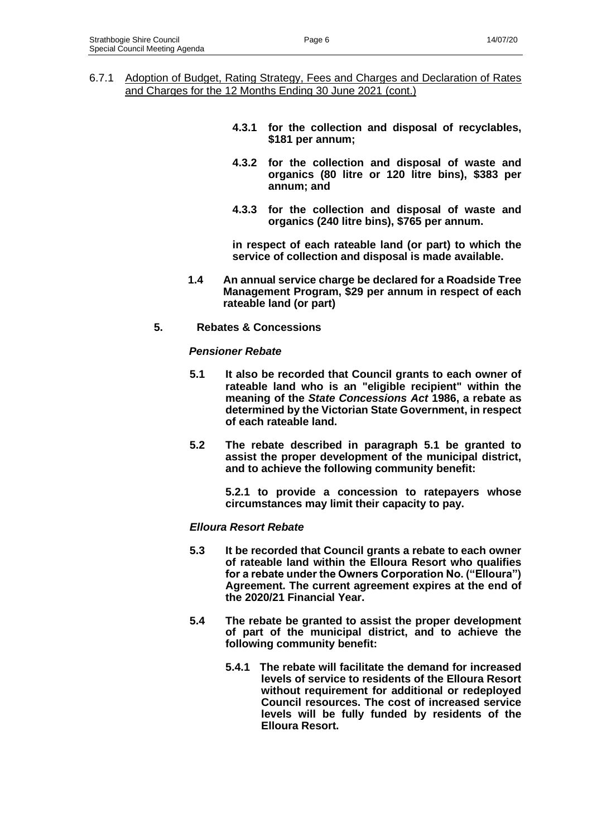- 6.7.1 Adoption of Budget, Rating Strategy, Fees and Charges and Declaration of Rates and Charges for the 12 Months Ending 30 June 2021 (cont.)
	- **4.3.1 for the collection and disposal of recyclables, \$181 per annum;**
	- **4.3.2 for the collection and disposal of waste and organics (80 litre or 120 litre bins), \$383 per annum; and**
	- **4.3.3 for the collection and disposal of waste and organics (240 litre bins), \$765 per annum.**

**in respect of each rateable land (or part) to which the service of collection and disposal is made available.**

- **1.4 An annual service charge be declared for a Roadside Tree Management Program, \$29 per annum in respect of each rateable land (or part)**
- **5. Rebates & Concessions**

#### *Pensioner Rebate*

- **5.1 It also be recorded that Council grants to each owner of rateable land who is an "eligible recipient" within the meaning of the** *State Concessions Act* **1986, a rebate as determined by the Victorian State Government, in respect of each rateable land.**
- **5.2 The rebate described in paragraph 5.1 be granted to assist the proper development of the municipal district, and to achieve the following community benefit:**

**5.2.1 to provide a concession to ratepayers whose circumstances may limit their capacity to pay.**

#### *Elloura Resort Rebate*

- **5.3 It be recorded that Council grants a rebate to each owner of rateable land within the Elloura Resort who qualifies for a rebate under the Owners Corporation No. ("Elloura") Agreement. The current agreement expires at the end of the 2020/21 Financial Year.**
- **5.4 The rebate be granted to assist the proper development of part of the municipal district, and to achieve the following community benefit:**
	- **5.4.1 The rebate will facilitate the demand for increased levels of service to residents of the Elloura Resort without requirement for additional or redeployed Council resources. The cost of increased service levels will be fully funded by residents of the Elloura Resort.**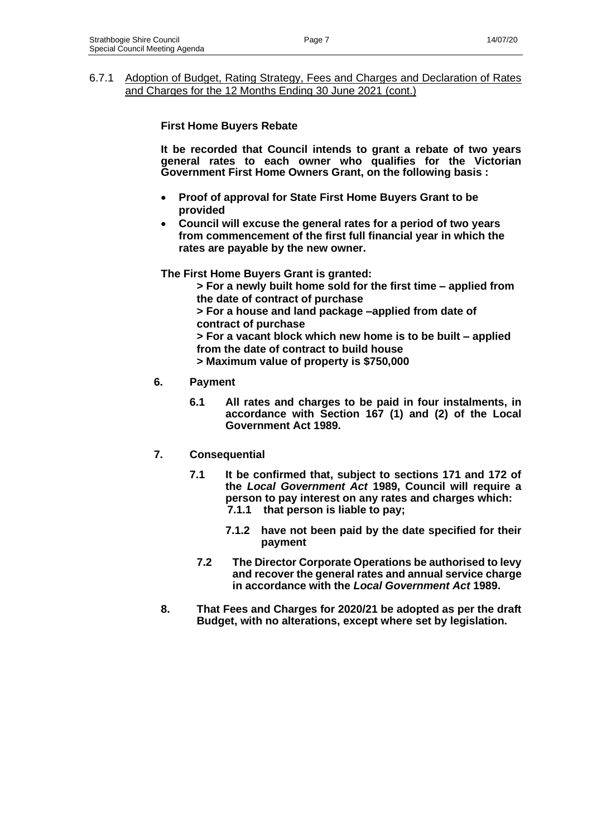## **First Home Buyers Rebate**

**It be recorded that Council intends to grant a rebate of two years general rates to each owner who qualifies for the Victorian Government First Home Owners Grant, on the following basis :**

- **Proof of approval for State First Home Buyers Grant to be provided**
- **Council will excuse the general rates for a period of two years from commencement of the first full financial year in which the rates are payable by the new owner.**

**The First Home Buyers Grant is granted:**

**> For a newly built home sold for the first time – applied from the date of contract of purchase**

**> For a house and land package –applied from date of contract of purchase**

**> For a vacant block which new home is to be built – applied from the date of contract to build house**

**> Maximum value of property is \$750,000**

## **6. Payment**

**6.1 All rates and charges to be paid in four instalments, in accordance with Section 167 (1) and (2) of the Local Government Act 1989.**

# **7. Consequential**

- **7.1 It be confirmed that, subject to sections 171 and 172 of the** *Local Government Act* **1989, Council will require a person to pay interest on any rates and charges which: 7.1.1 that person is liable to pay;**
	- **7.1.2 have not been paid by the date specified for their payment**
	- **7.2 The Director Corporate Operations be authorised to levy and recover the general rates and annual service charge in accordance with the** *Local Government Act* **1989.**
- **8. That Fees and Charges for 2020/21 be adopted as per the draft Budget, with no alterations, except where set by legislation.**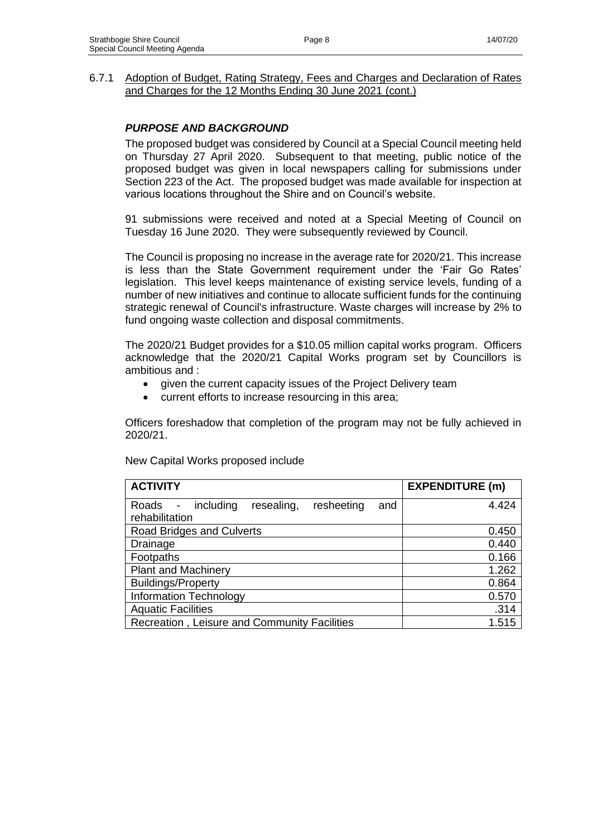## *PURPOSE AND BACKGROUND*

The proposed budget was considered by Council at a Special Council meeting held on Thursday 27 April 2020. Subsequent to that meeting, public notice of the proposed budget was given in local newspapers calling for submissions under Section 223 of the Act. The proposed budget was made available for inspection at various locations throughout the Shire and on Council's website.

91 submissions were received and noted at a Special Meeting of Council on Tuesday 16 June 2020. They were subsequently reviewed by Council.

The Council is proposing no increase in the average rate for 2020/21. This increase is less than the State Government requirement under the 'Fair Go Rates' legislation. This level keeps maintenance of existing service levels, funding of a number of new initiatives and continue to allocate sufficient funds for the continuing strategic renewal of Council's infrastructure. Waste charges will increase by 2% to fund ongoing waste collection and disposal commitments.

The 2020/21 Budget provides for a \$10.05 million capital works program. Officers acknowledge that the 2020/21 Capital Works program set by Councillors is ambitious and :

- given the current capacity issues of the Project Delivery team
- current efforts to increase resourcing in this area;

Officers foreshadow that completion of the program may not be fully achieved in 2020/21.

| <b>ACTIVITY</b>                                                           | <b>EXPENDITURE (m)</b> |
|---------------------------------------------------------------------------|------------------------|
| resheeting<br>including<br>resealing,<br>Roads -<br>and<br>rehabilitation | 4.424                  |
| Road Bridges and Culverts                                                 | 0.450                  |
| Drainage                                                                  | 0.440                  |
| Footpaths                                                                 | 0.166                  |
| <b>Plant and Machinery</b>                                                | 1.262                  |
| <b>Buildings/Property</b>                                                 | 0.864                  |
| <b>Information Technology</b>                                             | 0.570                  |
| <b>Aquatic Facilities</b>                                                 | .314                   |
| Recreation, Leisure and Community Facilities                              | 1.515                  |

New Capital Works proposed include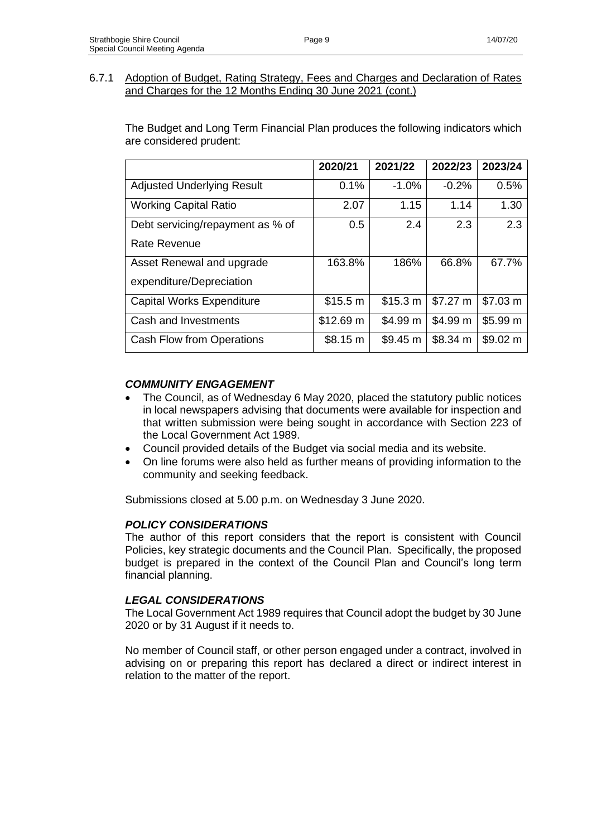The Budget and Long Term Financial Plan produces the following indicators which are considered prudent:

|                                   | 2020/21   | 2021/22  | 2022/23  | 2023/24  |
|-----------------------------------|-----------|----------|----------|----------|
| <b>Adjusted Underlying Result</b> | 0.1%      | $-1.0%$  | $-0.2%$  | 0.5%     |
| <b>Working Capital Ratio</b>      | 2.07      | 1.15     | 1.14     | 1.30     |
| Debt servicing/repayment as % of  | 0.5       | 2.4      | 2.3      | 2.3      |
| Rate Revenue                      |           |          |          |          |
| Asset Renewal and upgrade         | 163.8%    | 186%     | 66.8%    | 67.7%    |
| expenditure/Depreciation          |           |          |          |          |
| <b>Capital Works Expenditure</b>  | \$15.5 m  | \$15.3 m | \$7.27 m | \$7.03 m |
| Cash and Investments              | \$12.69 m | \$4.99 m | \$4.99 m | \$5.99 m |
| Cash Flow from Operations         | \$8.15 m  | \$9.45 m | \$8.34 m | \$9.02 m |

# *COMMUNITY ENGAGEMENT*

- The Council, as of Wednesday 6 May 2020, placed the statutory public notices in local newspapers advising that documents were available for inspection and that written submission were being sought in accordance with Section 223 of the Local Government Act 1989.
- Council provided details of the Budget via social media and its website.
- On line forums were also held as further means of providing information to the community and seeking feedback.

Submissions closed at 5.00 p.m. on Wednesday 3 June 2020.

# *POLICY CONSIDERATIONS*

The author of this report considers that the report is consistent with Council Policies, key strategic documents and the Council Plan. Specifically, the proposed budget is prepared in the context of the Council Plan and Council's long term financial planning.

## *LEGAL CONSIDERATIONS*

The Local Government Act 1989 requires that Council adopt the budget by 30 June 2020 or by 31 August if it needs to.

No member of Council staff, or other person engaged under a contract, involved in advising on or preparing this report has declared a direct or indirect interest in relation to the matter of the report.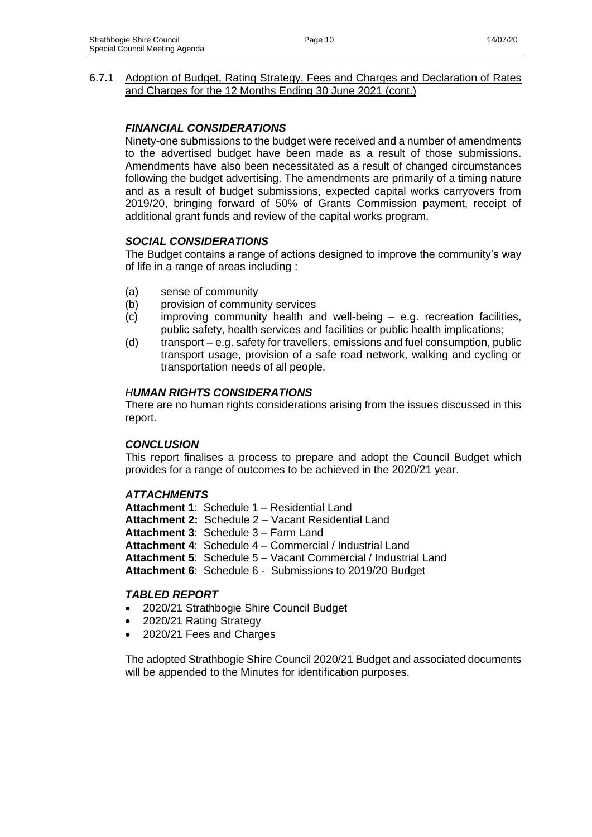## *FINANCIAL CONSIDERATIONS*

Ninety-one submissions to the budget were received and a number of amendments to the advertised budget have been made as a result of those submissions. Amendments have also been necessitated as a result of changed circumstances following the budget advertising. The amendments are primarily of a timing nature and as a result of budget submissions, expected capital works carryovers from 2019/20, bringing forward of 50% of Grants Commission payment, receipt of additional grant funds and review of the capital works program.

## *SOCIAL CONSIDERATIONS*

The Budget contains a range of actions designed to improve the community's way of life in a range of areas including :

- (a) sense of community
- (b) provision of community services
- (c) improving community health and well-being e.g. recreation facilities, public safety, health services and facilities or public health implications;
- (d) transport e.g. safety for travellers, emissions and fuel consumption, public transport usage, provision of a safe road network, walking and cycling or transportation needs of all people.

## *HUMAN RIGHTS CONSIDERATIONS*

There are no human rights considerations arising from the issues discussed in this report.

## *CONCLUSION*

This report finalises a process to prepare and adopt the Council Budget which provides for a range of outcomes to be achieved in the 2020/21 year.

## *ATTACHMENTS*

**Attachment 1**: Schedule 1 – Residential Land **Attachment 2:** Schedule 2 – Vacant Residential Land **Attachment 3**: Schedule 3 – Farm Land **Attachment 4**: Schedule 4 – Commercial / Industrial Land **Attachment 5**: Schedule 5 – Vacant Commercial / Industrial Land **Attachment 6**: Schedule 6 - Submissions to 2019/20 Budget

#### *TABLED REPORT*

- 2020/21 Strathbogie Shire Council Budget
- 2020/21 Rating Strategy
- 2020/21 Fees and Charges

The adopted Strathbogie Shire Council 2020/21 Budget and associated documents will be appended to the Minutes for identification purposes.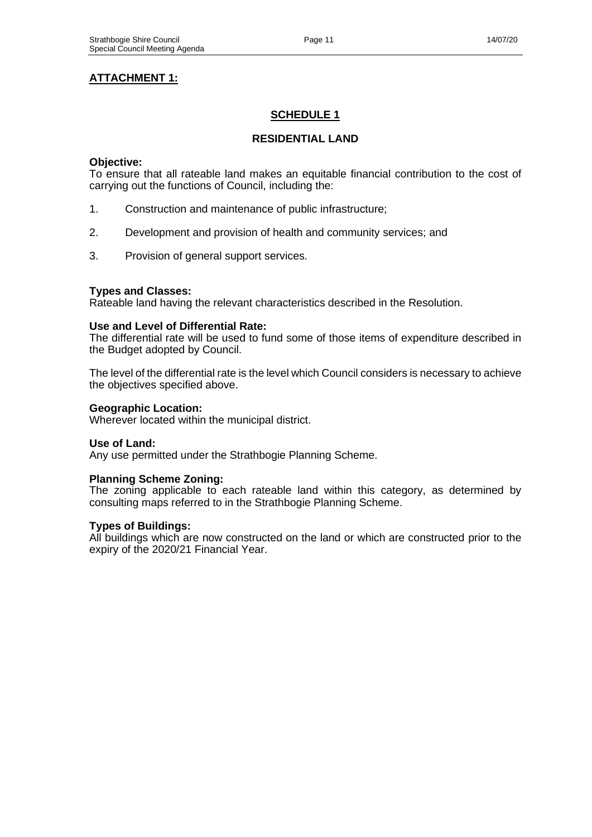# **ATTACHMENT 1:**

# **SCHEDULE 1**

# **RESIDENTIAL LAND**

#### **Objective:**

To ensure that all rateable land makes an equitable financial contribution to the cost of carrying out the functions of Council, including the:

- 1. Construction and maintenance of public infrastructure;
- 2. Development and provision of health and community services; and
- 3. Provision of general support services.

#### **Types and Classes:**

Rateable land having the relevant characteristics described in the Resolution.

#### **Use and Level of Differential Rate:**

The differential rate will be used to fund some of those items of expenditure described in the Budget adopted by Council.

The level of the differential rate is the level which Council considers is necessary to achieve the objectives specified above.

#### **Geographic Location:**

Wherever located within the municipal district.

#### **Use of Land:**

Any use permitted under the Strathbogie Planning Scheme.

#### **Planning Scheme Zoning:**

The zoning applicable to each rateable land within this category, as determined by consulting maps referred to in the Strathbogie Planning Scheme.

#### **Types of Buildings:**

All buildings which are now constructed on the land or which are constructed prior to the expiry of the 2020/21 Financial Year.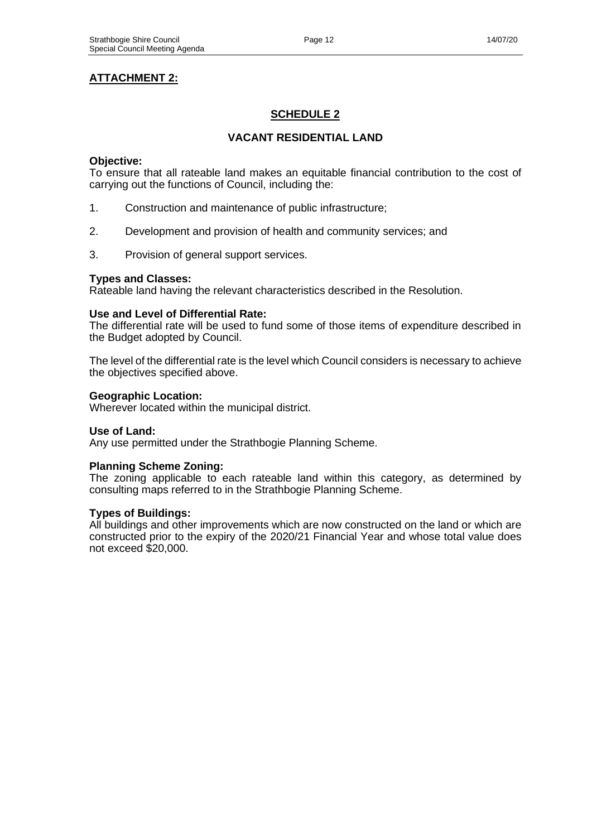# **ATTACHMENT 2:**

# **SCHEDULE 2**

## **VACANT RESIDENTIAL LAND**

#### **Objective:**

To ensure that all rateable land makes an equitable financial contribution to the cost of carrying out the functions of Council, including the:

- 1. Construction and maintenance of public infrastructure;
- 2. Development and provision of health and community services; and
- 3. Provision of general support services.

#### **Types and Classes:**

Rateable land having the relevant characteristics described in the Resolution.

#### **Use and Level of Differential Rate:**

The differential rate will be used to fund some of those items of expenditure described in the Budget adopted by Council.

The level of the differential rate is the level which Council considers is necessary to achieve the objectives specified above.

#### **Geographic Location:**

Wherever located within the municipal district.

#### **Use of Land:**

Any use permitted under the Strathbogie Planning Scheme.

#### **Planning Scheme Zoning:**

The zoning applicable to each rateable land within this category, as determined by consulting maps referred to in the Strathbogie Planning Scheme.

## **Types of Buildings:**

All buildings and other improvements which are now constructed on the land or which are constructed prior to the expiry of the 2020/21 Financial Year and whose total value does not exceed \$20,000.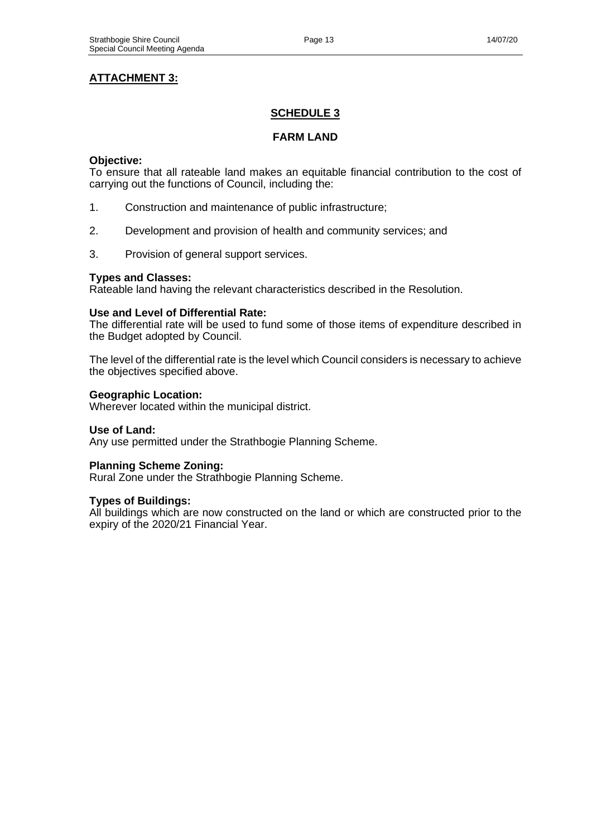# **ATTACHMENT 3:**

# **SCHEDULE 3**

### **FARM LAND**

#### **Objective:**

To ensure that all rateable land makes an equitable financial contribution to the cost of carrying out the functions of Council, including the:

- 1. Construction and maintenance of public infrastructure;
- 2. Development and provision of health and community services; and
- 3. Provision of general support services.

#### **Types and Classes:**

Rateable land having the relevant characteristics described in the Resolution.

#### **Use and Level of Differential Rate:**

The differential rate will be used to fund some of those items of expenditure described in the Budget adopted by Council.

The level of the differential rate is the level which Council considers is necessary to achieve the objectives specified above.

#### **Geographic Location:**

Wherever located within the municipal district.

#### **Use of Land:**

Any use permitted under the Strathbogie Planning Scheme.

#### **Planning Scheme Zoning:**

Rural Zone under the Strathbogie Planning Scheme.

#### **Types of Buildings:**

All buildings which are now constructed on the land or which are constructed prior to the expiry of the 2020/21 Financial Year.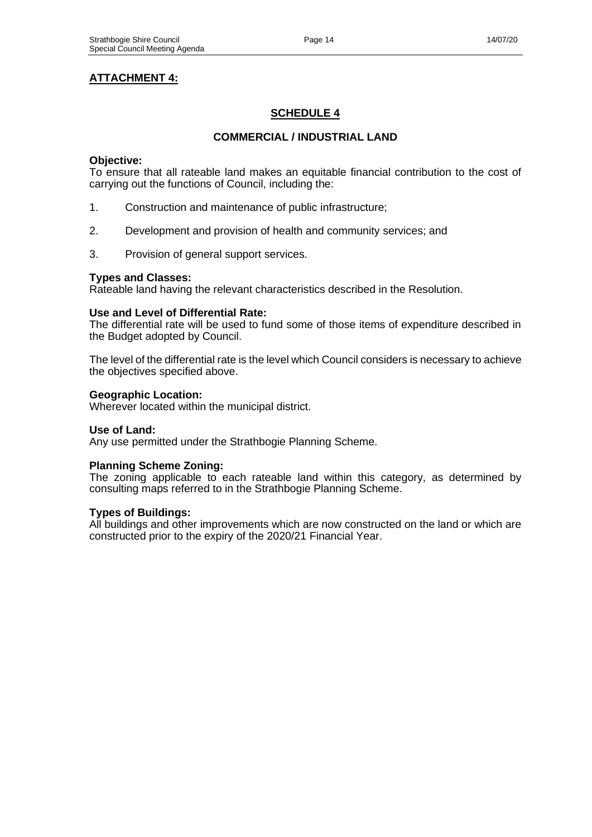# **ATTACHMENT 4:**

# **SCHEDULE 4**

## **COMMERCIAL / INDUSTRIAL LAND**

#### **Objective:**

To ensure that all rateable land makes an equitable financial contribution to the cost of carrying out the functions of Council, including the:

- 1. Construction and maintenance of public infrastructure;
- 2. Development and provision of health and community services; and
- 3. Provision of general support services.

#### **Types and Classes:**

Rateable land having the relevant characteristics described in the Resolution.

#### **Use and Level of Differential Rate:**

The differential rate will be used to fund some of those items of expenditure described in the Budget adopted by Council.

The level of the differential rate is the level which Council considers is necessary to achieve the objectives specified above.

#### **Geographic Location:**

Wherever located within the municipal district.

#### **Use of Land:**

Any use permitted under the Strathbogie Planning Scheme.

#### **Planning Scheme Zoning:**

The zoning applicable to each rateable land within this category, as determined by consulting maps referred to in the Strathbogie Planning Scheme.

## **Types of Buildings:**

All buildings and other improvements which are now constructed on the land or which are constructed prior to the expiry of the 2020/21 Financial Year.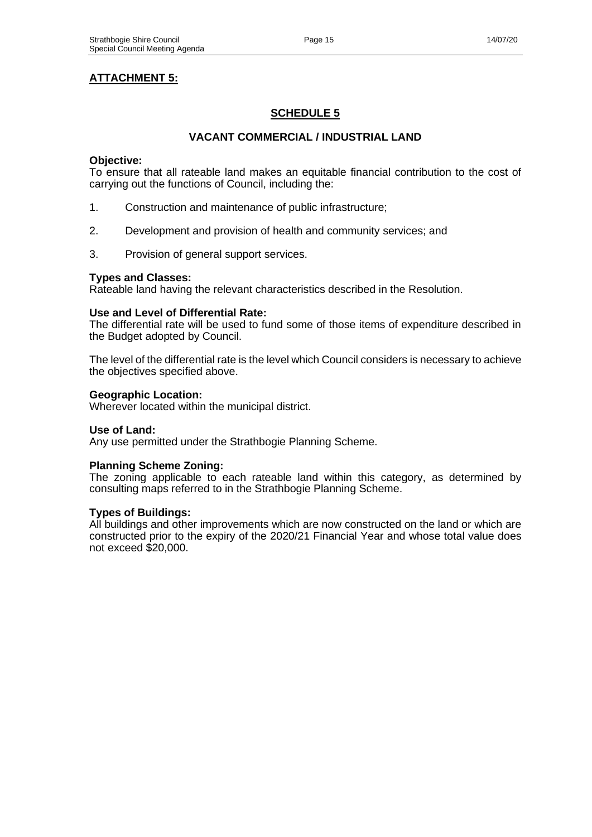# **ATTACHMENT 5:**

# **SCHEDULE 5**

## **VACANT COMMERCIAL / INDUSTRIAL LAND**

#### **Objective:**

To ensure that all rateable land makes an equitable financial contribution to the cost of carrying out the functions of Council, including the:

- 1. Construction and maintenance of public infrastructure;
- 2. Development and provision of health and community services; and
- 3. Provision of general support services.

#### **Types and Classes:**

Rateable land having the relevant characteristics described in the Resolution.

#### **Use and Level of Differential Rate:**

The differential rate will be used to fund some of those items of expenditure described in the Budget adopted by Council.

The level of the differential rate is the level which Council considers is necessary to achieve the objectives specified above.

#### **Geographic Location:**

Wherever located within the municipal district.

#### **Use of Land:**

Any use permitted under the Strathbogie Planning Scheme.

#### **Planning Scheme Zoning:**

The zoning applicable to each rateable land within this category, as determined by consulting maps referred to in the Strathbogie Planning Scheme.

## **Types of Buildings:**

All buildings and other improvements which are now constructed on the land or which are constructed prior to the expiry of the 2020/21 Financial Year and whose total value does not exceed \$20,000.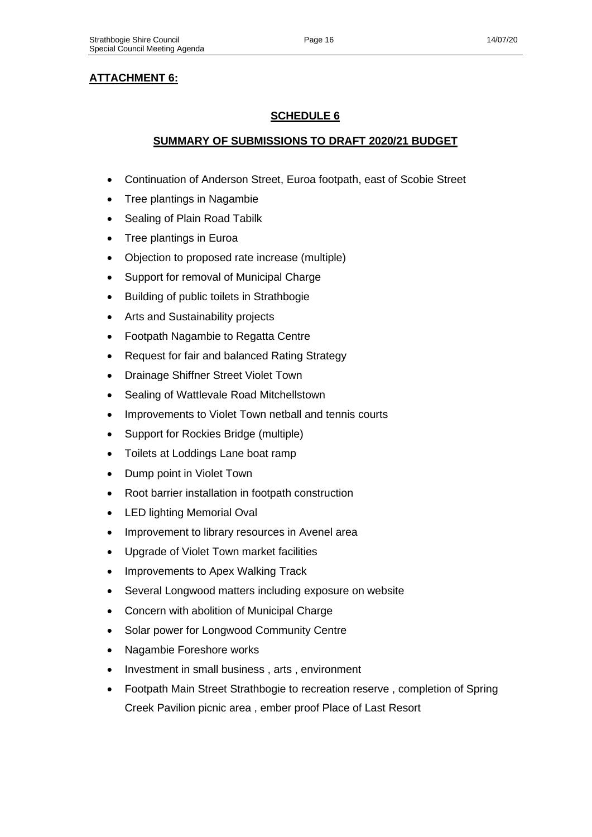# **ATTACHMENT 6:**

# **SCHEDULE 6**

# **SUMMARY OF SUBMISSIONS TO DRAFT 2020/21 BUDGET**

- Continuation of Anderson Street, Euroa footpath, east of Scobie Street
- Tree plantings in Nagambie
- Sealing of Plain Road Tabilk
- Tree plantings in Euroa
- Objection to proposed rate increase (multiple)
- Support for removal of Municipal Charge
- Building of public toilets in Strathbogie
- Arts and Sustainability projects
- Footpath Nagambie to Regatta Centre
- Request for fair and balanced Rating Strategy
- Drainage Shiffner Street Violet Town
- Sealing of Wattlevale Road Mitchellstown
- Improvements to Violet Town netball and tennis courts
- Support for Rockies Bridge (multiple)
- Toilets at Loddings Lane boat ramp
- Dump point in Violet Town
- Root barrier installation in footpath construction
- LED lighting Memorial Oval
- Improvement to library resources in Avenel area
- Upgrade of Violet Town market facilities
- Improvements to Apex Walking Track
- Several Longwood matters including exposure on website
- Concern with abolition of Municipal Charge
- Solar power for Longwood Community Centre
- Nagambie Foreshore works
- Investment in small business, arts, environment
- Footpath Main Street Strathbogie to recreation reserve , completion of Spring Creek Pavilion picnic area , ember proof Place of Last Resort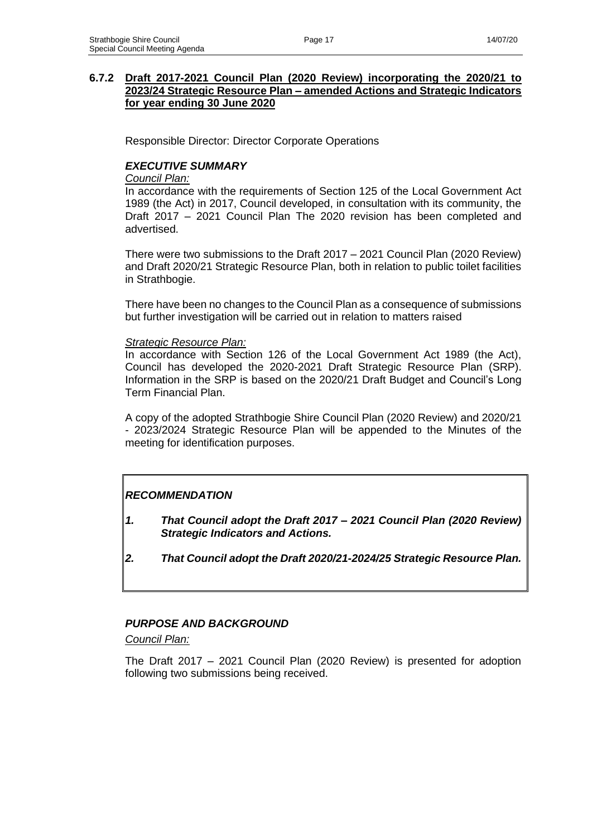## **6.7.2 Draft 2017-2021 Council Plan (2020 Review) incorporating the 2020/21 to 2023/24 Strategic Resource Plan – amended Actions and Strategic Indicators for year ending 30 June 2020**

Responsible Director: Director Corporate Operations

## *EXECUTIVE SUMMARY*

### *Council Plan:*

In accordance with the requirements of Section 125 of the Local Government Act 1989 (the Act) in 2017, Council developed, in consultation with its community, the Draft 2017 – 2021 Council Plan The 2020 revision has been completed and advertised.

There were two submissions to the Draft 2017 – 2021 Council Plan (2020 Review) and Draft 2020/21 Strategic Resource Plan, both in relation to public toilet facilities in Strathbogie.

There have been no changes to the Council Plan as a consequence of submissions but further investigation will be carried out in relation to matters raised

#### *Strategic Resource Plan:*

In accordance with Section 126 of the Local Government Act 1989 (the Act), Council has developed the 2020-2021 Draft Strategic Resource Plan (SRP). Information in the SRP is based on the 2020/21 Draft Budget and Council's Long Term Financial Plan.

A copy of the adopted Strathbogie Shire Council Plan (2020 Review) and 2020/21 - 2023/2024 Strategic Resource Plan will be appended to the Minutes of the meeting for identification purposes.

# *RECOMMENDATION*

- *1. That Council adopt the Draft 2017 – 2021 Council Plan (2020 Review) Strategic Indicators and Actions.*
- *2. That Council adopt the Draft 2020/21-2024/25 Strategic Resource Plan.*

# *PURPOSE AND BACKGROUND*

*Council Plan:*

The Draft 2017 – 2021 Council Plan (2020 Review) is presented for adoption following two submissions being received.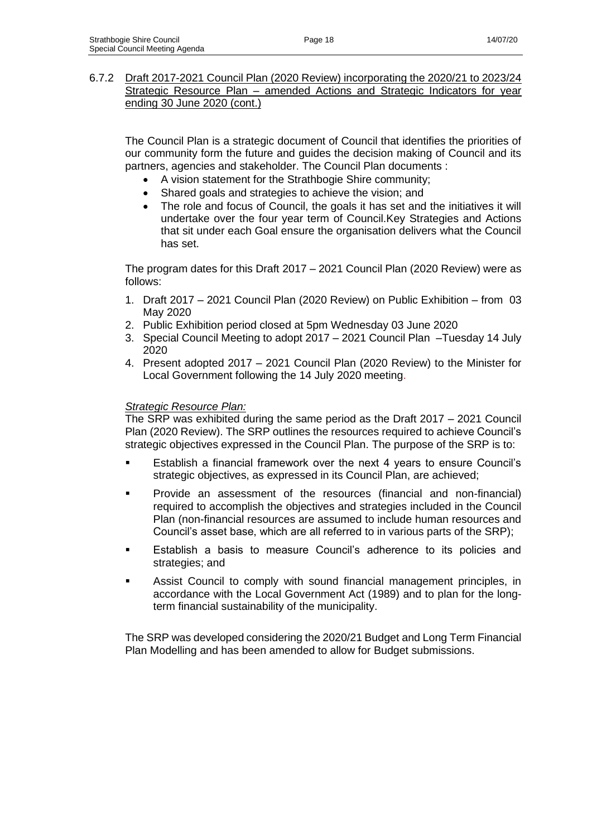## 6.7.2 Draft 2017-2021 Council Plan (2020 Review) incorporating the 2020/21 to 2023/24 Strategic Resource Plan – amended Actions and Strategic Indicators for year ending 30 June 2020 (cont.)

The Council Plan is a strategic document of Council that identifies the priorities of our community form the future and guides the decision making of Council and its partners, agencies and stakeholder. The Council Plan documents :

- A vision statement for the Strathbogie Shire community;
- Shared goals and strategies to achieve the vision; and
- The role and focus of Council, the goals it has set and the initiatives it will undertake over the four year term of Council.Key Strategies and Actions that sit under each Goal ensure the organisation delivers what the Council has set.

The program dates for this Draft 2017 – 2021 Council Plan (2020 Review) were as follows:

- 1. Draft 2017 2021 Council Plan (2020 Review) on Public Exhibition from 03 May 2020
- 2. Public Exhibition period closed at 5pm Wednesday 03 June 2020
- 3. Special Council Meeting to adopt 2017 2021 Council Plan –Tuesday 14 July 2020
- 4. Present adopted 2017 2021 Council Plan (2020 Review) to the Minister for Local Government following the 14 July 2020 meeting.

## *Strategic Resource Plan:*

The SRP was exhibited during the same period as the Draft 2017 – 2021 Council Plan (2020 Review). The SRP outlines the resources required to achieve Council's strategic objectives expressed in the Council Plan. The purpose of the SRP is to:

- Establish a financial framework over the next 4 years to ensure Council's strategic objectives, as expressed in its Council Plan, are achieved;
- Provide an assessment of the resources (financial and non-financial) required to accomplish the objectives and strategies included in the Council Plan (non-financial resources are assumed to include human resources and Council's asset base, which are all referred to in various parts of the SRP);
- Establish a basis to measure Council's adherence to its policies and strategies; and
- Assist Council to comply with sound financial management principles, in accordance with the Local Government Act (1989) and to plan for the longterm financial sustainability of the municipality.

The SRP was developed considering the 2020/21 Budget and Long Term Financial Plan Modelling and has been amended to allow for Budget submissions.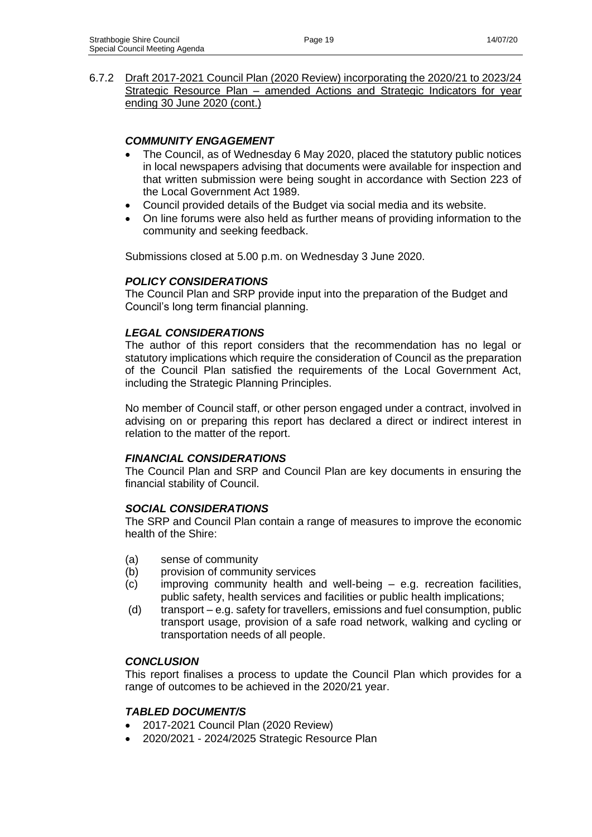6.7.2 Draft 2017-2021 Council Plan (2020 Review) incorporating the 2020/21 to 2023/24 Strategic Resource Plan – amended Actions and Strategic Indicators for year ending 30 June 2020 (cont.)

# *COMMUNITY ENGAGEMENT*

- The Council, as of Wednesday 6 May 2020, placed the statutory public notices in local newspapers advising that documents were available for inspection and that written submission were being sought in accordance with Section 223 of the Local Government Act 1989.
- Council provided details of the Budget via social media and its website.
- On line forums were also held as further means of providing information to the community and seeking feedback.

Submissions closed at 5.00 p.m. on Wednesday 3 June 2020.

## *POLICY CONSIDERATIONS*

The Council Plan and SRP provide input into the preparation of the Budget and Council's long term financial planning.

## *LEGAL CONSIDERATIONS*

The author of this report considers that the recommendation has no legal or statutory implications which require the consideration of Council as the preparation of the Council Plan satisfied the requirements of the Local Government Act, including the Strategic Planning Principles.

No member of Council staff, or other person engaged under a contract, involved in advising on or preparing this report has declared a direct or indirect interest in relation to the matter of the report.

## *FINANCIAL CONSIDERATIONS*

The Council Plan and SRP and Council Plan are key documents in ensuring the financial stability of Council.

## *SOCIAL CONSIDERATIONS*

The SRP and Council Plan contain a range of measures to improve the economic health of the Shire:

- (a) sense of community
- (b) provision of community services
- (c) improving community health and well-being e.g. recreation facilities, public safety, health services and facilities or public health implications;
- (d) transport e.g. safety for travellers, emissions and fuel consumption, public transport usage, provision of a safe road network, walking and cycling or transportation needs of all people.

# *CONCLUSION*

This report finalises a process to update the Council Plan which provides for a range of outcomes to be achieved in the 2020/21 year.

## *TABLED DOCUMENT/S*

- 2017-2021 Council Plan (2020 Review)
- 2020/2021 2024/2025 Strategic Resource Plan